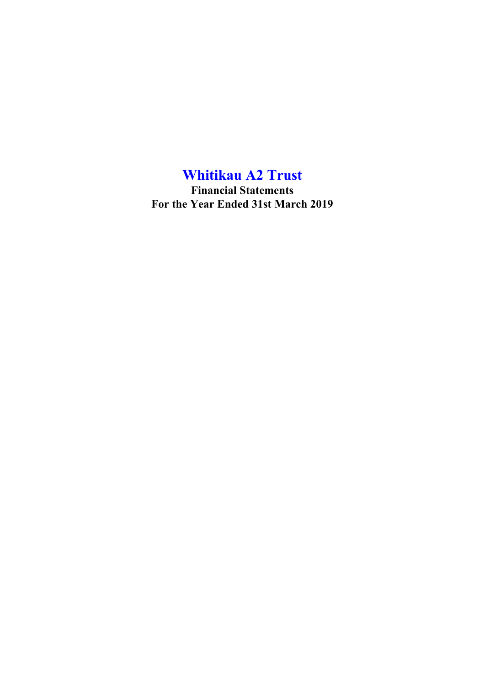**Financial Statements For the Year Ended 31st March 2019**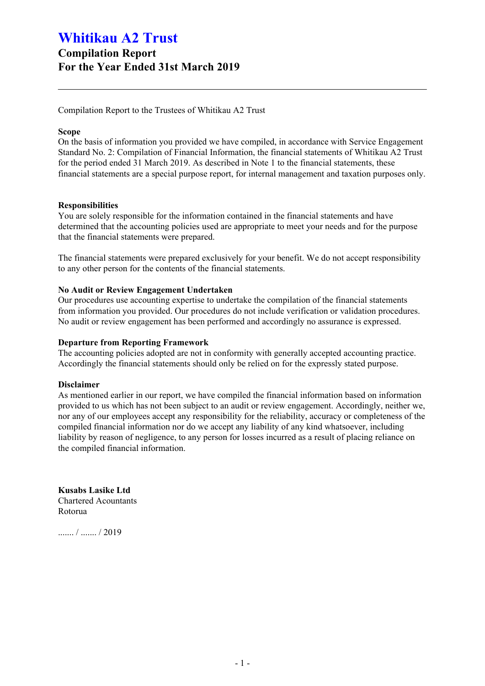## **Compilation Report For the Year Ended 31st March 2019**

Compilation Report to the Trustees of Whitikau A2 Trust

### **Scope**

On the basis of information you provided we have compiled, in accordance with Service Engagement Standard No. 2: Compilation of Financial Information, the financial statements of Whitikau A2 Trust for the period ended 31 March 2019. As described in Note 1 to the financial statements, these financial statements are a special purpose report, for internal management and taxation purposes only.

### **Responsibilities**

You are solely responsible for the information contained in the financial statements and have determined that the accounting policies used are appropriate to meet your needs and for the purpose that the financial statements were prepared.

The financial statements were prepared exclusively for your benefit. We do not accept responsibility to any other person for the contents of the financial statements.

## **No Audit or Review Engagement Undertaken**

Our procedures use accounting expertise to undertake the compilation of the financial statements from information you provided. Our procedures do not include verification or validation procedures. No audit or review engagement has been performed and accordingly no assurance is expressed.

## **Departure from Reporting Framework**

The accounting policies adopted are not in conformity with generally accepted accounting practice. Accordingly the financial statements should only be relied on for the expressly stated purpose.

### **Disclaimer**

As mentioned earlier in our report, we have compiled the financial information based on information provided to us which has not been subject to an audit or review engagement. Accordingly, neither we, nor any of our employees accept any responsibility for the reliability, accuracy or completeness of the compiled financial information nor do we accept any liability of any kind whatsoever, including liability by reason of negligence, to any person for losses incurred as a result of placing reliance on the compiled financial information.

**Kusabs Lasike Ltd** Chartered Acountants Rotorua

....... / ....... / 2019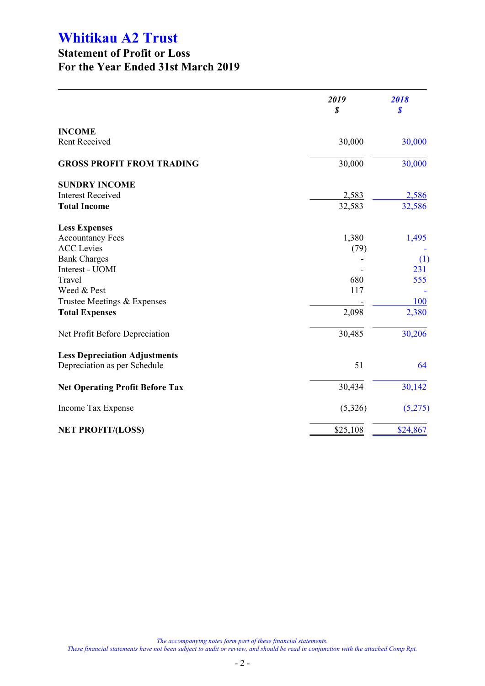## **Statement of Profit or Loss For the Year Ended 31st March 2019**

|                                                                      | 2019<br>\$ | 2018<br>$\boldsymbol{s}$ |
|----------------------------------------------------------------------|------------|--------------------------|
| <b>INCOME</b>                                                        |            |                          |
| Rent Received                                                        | 30,000     | 30,000                   |
| <b>GROSS PROFIT FROM TRADING</b>                                     | 30,000     | 30,000                   |
| <b>SUNDRY INCOME</b>                                                 |            |                          |
| <b>Interest Received</b>                                             | 2,583      | 2,586                    |
| <b>Total Income</b>                                                  | 32,583     | 32,586                   |
| <b>Less Expenses</b>                                                 |            |                          |
| <b>Accountancy Fees</b>                                              | 1,380      | 1,495                    |
| <b>ACC</b> Levies                                                    | (79)       |                          |
| <b>Bank Charges</b>                                                  |            | (1)                      |
| Interest - UOMI                                                      |            | 231                      |
| Travel                                                               | 680        | 555                      |
| Weed & Pest                                                          | 117        |                          |
| Trustee Meetings & Expenses                                          |            | 100                      |
| <b>Total Expenses</b>                                                | 2,098      | 2,380                    |
| Net Profit Before Depreciation                                       | 30,485     | 30,206                   |
| <b>Less Depreciation Adjustments</b><br>Depreciation as per Schedule | 51         | 64                       |
| <b>Net Operating Profit Before Tax</b>                               | 30,434     | 30,142                   |
| Income Tax Expense                                                   | (5,326)    | (5,275)                  |
| <b>NET PROFIT/(LOSS)</b>                                             | \$25,108   | \$24,867                 |
|                                                                      |            |                          |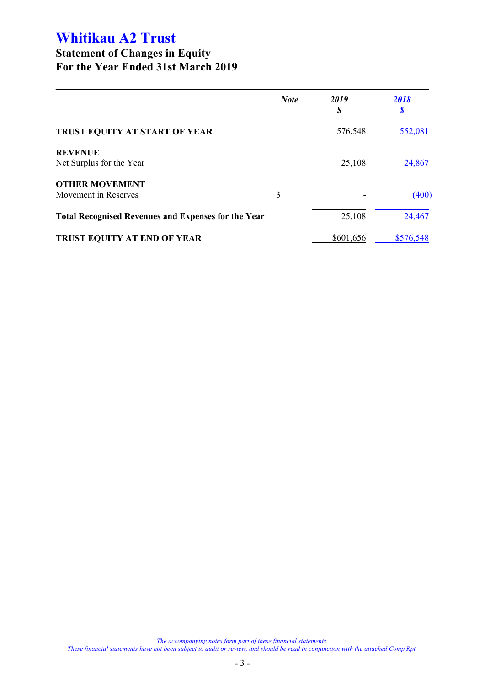## **Statement of Changes in Equity For the Year Ended 31st March 2019**

|                                                            | <b>Note</b> | 2019<br>\$ | 2018<br>S |
|------------------------------------------------------------|-------------|------------|-----------|
| TRUST EQUITY AT START OF YEAR                              |             | 576,548    | 552,081   |
| <b>REVENUE</b><br>Net Surplus for the Year                 |             | 25,108     | 24,867    |
| <b>OTHER MOVEMENT</b><br>Movement in Reserves              | 3           |            | (400)     |
| <b>Total Recognised Revenues and Expenses for the Year</b> |             | 25,108     | 24,467    |
| <b>TRUST EQUITY AT END OF YEAR</b>                         |             | \$601,656  | \$576,548 |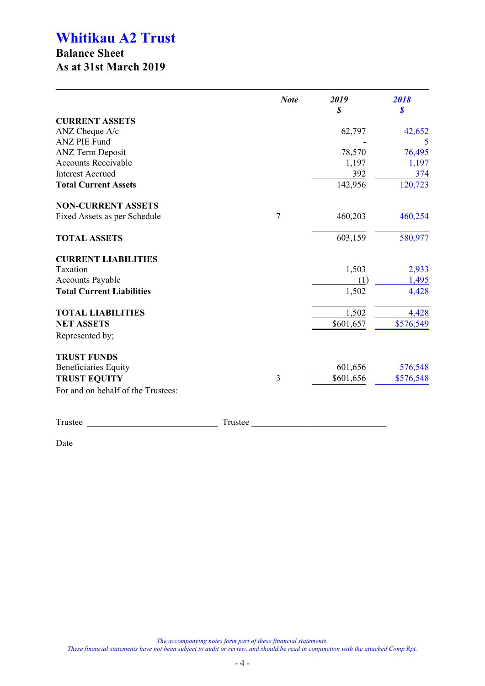## **Balance Sheet As at 31st March 2019**

|                                    |         | <b>Note</b> | 2019<br>\$ | 2018<br>\$ |
|------------------------------------|---------|-------------|------------|------------|
| <b>CURRENT ASSETS</b>              |         |             |            |            |
| ANZ Cheque A/c                     |         |             | 62,797     | 42,652     |
| <b>ANZ PIE Fund</b>                |         |             |            |            |
| <b>ANZ Term Deposit</b>            |         |             | 78,570     | 76,495     |
| <b>Accounts Receivable</b>         |         |             | 1,197      | 1,197      |
| <b>Interest Accrued</b>            |         |             | 392        | 374        |
| <b>Total Current Assets</b>        |         |             | 142,956    | 120,723    |
| <b>NON-CURRENT ASSETS</b>          |         |             |            |            |
| Fixed Assets as per Schedule       | 7       |             | 460,203    | 460,254    |
| <b>TOTAL ASSETS</b>                |         |             | 603,159    | 580,977    |
| <b>CURRENT LIABILITIES</b>         |         |             |            |            |
| Taxation                           |         |             | 1,503      | 2,933      |
| <b>Accounts Payable</b>            |         |             | (1)        | 1,495      |
| <b>Total Current Liabilities</b>   |         |             | 1,502      | 4,428      |
| <b>TOTAL LIABILITIES</b>           |         |             | 1,502      | 4,428      |
| <b>NET ASSETS</b>                  |         |             | \$601,657  | \$576,549  |
| Represented by;                    |         |             |            |            |
| <b>TRUST FUNDS</b>                 |         |             |            |            |
| <b>Beneficiaries Equity</b>        |         |             | 601,656    | 576,548    |
| <b>TRUST EQUITY</b>                | 3       |             | \$601,656  | \$576,548  |
| For and on behalf of the Trustees: |         |             |            |            |
| Trustee                            | Trustee |             |            |            |

Date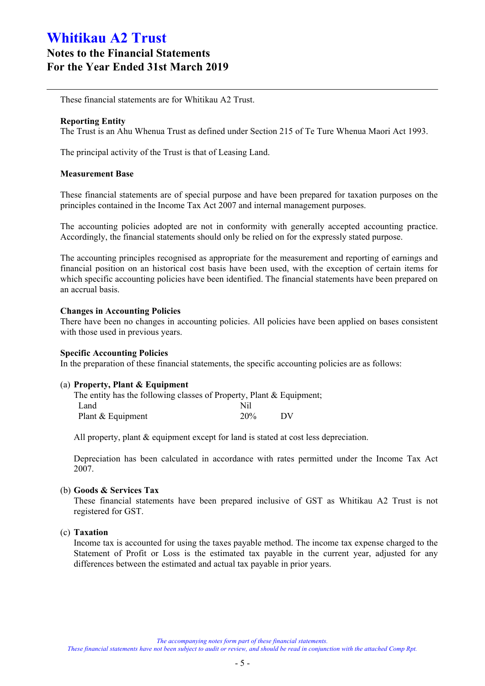## **Notes to the Financial Statements For the Year Ended 31st March 2019**

These financial statements are for Whitikau A2 Trust.

## **Reporting Entity**

The Trust is an Ahu Whenua Trust as defined under Section 215 of Te Ture Whenua Maori Act 1993.

The principal activity of the Trust is that of Leasing Land.

### **Measurement Base**

These financial statements are of special purpose and have been prepared for taxation purposes on the principles contained in the Income Tax Act 2007 and internal management purposes.

The accounting policies adopted are not in conformity with generally accepted accounting practice. Accordingly, the financial statements should only be relied on for the expressly stated purpose.

The accounting principles recognised as appropriate for the measurement and reporting of earnings and financial position on an historical cost basis have been used, with the exception of certain items for which specific accounting policies have been identified. The financial statements have been prepared on an accrual basis.

## **Changes in Accounting Policies**

There have been no changes in accounting policies. All policies have been applied on bases consistent with those used in previous years.

### **Specific Accounting Policies**

In the preparation of these financial statements, the specific accounting policies are as follows:

### (a) **Property, Plant & Equipment**

| The entity has the following classes of Property, Plant $&$ Equipment; |     |    |
|------------------------------------------------------------------------|-----|----|
| Land                                                                   | Nil |    |
| Plant & Equipment                                                      | 20% | DV |

All property, plant  $\&$  equipment except for land is stated at cost less depreciation.

Depreciation has been calculated in accordance with rates permitted under the Income Tax Act 2007.

### (b) **Goods & Services Tax**

These financial statements have been prepared inclusive of GST as Whitikau A2 Trust is not registered for GST.

## (c) **Taxation**

Income tax is accounted for using the taxes payable method. The income tax expense charged to the Statement of Profit or Loss is the estimated tax payable in the current year, adjusted for any differences between the estimated and actual tax payable in prior years.

#### *These financial statements have not been subject to audit or review, and should be read in conjunction with the attached Comp Rpt.*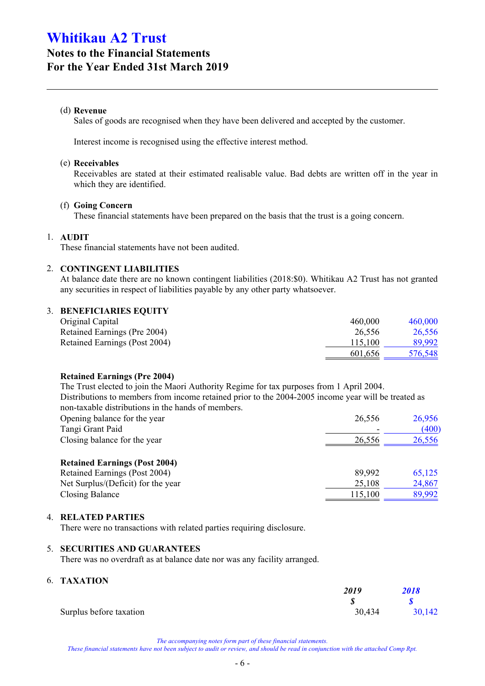## **Notes to the Financial Statements For the Year Ended 31st March 2019**

## (d) **Revenue**

Sales of goods are recognised when they have been delivered and accepted by the customer.

Interest income is recognised using the effective interest method.

### (e) **Receivables**

Receivables are stated at their estimated realisable value. Bad debts are written off in the year in which they are identified.

## (f) **Going Concern**

These financial statements have been prepared on the basis that the trust is a going concern.

## 1. **AUDIT**

These financial statements have not been audited.

## 2. **CONTINGENT LIABILITIES**

At balance date there are no known contingent liabilities (2018:\$0). Whitikau A2 Trust has not granted any securities in respect of liabilities payable by any other party whatsoever.

## 3. **BENEFICIARIES EQUITY**

| Original Capital              | 460,000 | 460,000 |
|-------------------------------|---------|---------|
| Retained Earnings (Pre 2004)  | 26.556  | 26.556  |
| Retained Earnings (Post 2004) | 115.100 | 89,992  |
|                               | 601,656 | 576,548 |

## **Retained Earnings (Pre 2004)**

The Trust elected to join the Maori Authority Regime for tax purposes from 1 April 2004. Distributions to members from income retained prior to the 2004-2005 income year will be treated as non-taxable distributions in the hands of members.

| Opening balance for the year                                           | 26.556                   | 26,956 |
|------------------------------------------------------------------------|--------------------------|--------|
| Tangi Grant Paid                                                       | $\overline{\phantom{a}}$ | (400)  |
| Closing balance for the year                                           | 26.556                   | 26,556 |
|                                                                        |                          |        |
| $\mathbf{A}$ $\mathbf{A}$ $\mathbf{A}$<br>$\blacksquare$<br>$\sqrt{1}$ |                          |        |

## **Retained Earnings (Post 2004)** Retained Earnings (Post 2004) 89,992 65,125 Net Surplus/(Deficit) for the year 25,108 24,867 Closing Balance 115,100 89,992

### 4. **RELATED PARTIES**

There were no transactions with related parties requiring disclosure.

### 5. **SECURITIES AND GUARANTEES**

There was no overdraft as at balance date nor was any facility arranged.

## 6. **TAXATION**

|                         | 2019   | 2018   |
|-------------------------|--------|--------|
|                         |        |        |
| Surplus before taxation | 30,434 | 30,142 |

*The accompanying notes form part of these financial statements.*

*These financial statements have not been subject to audit or review, and should be read in conjunction with the attached Comp Rpt.*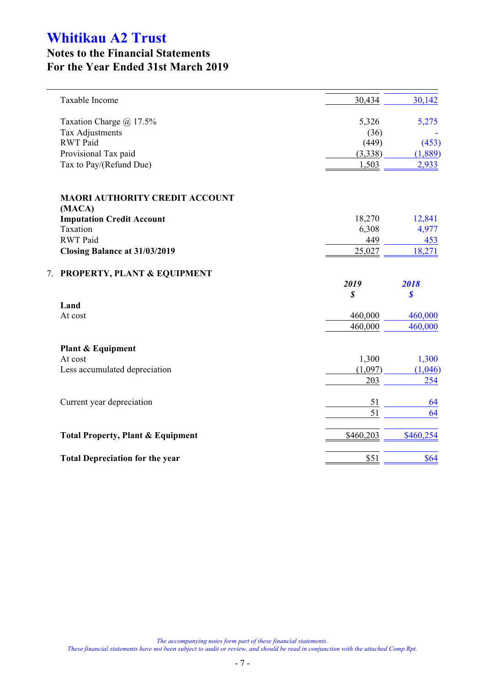## **Notes to the Financial Statements For the Year Ended 31st March 2019**

|    | Taxable Income                                  | 30,434                     | 30,142    |
|----|-------------------------------------------------|----------------------------|-----------|
|    | Taxation Charge @ 17.5%                         | 5,326                      | 5,275     |
|    | Tax Adjustments                                 | (36)                       |           |
|    | <b>RWT</b> Paid                                 | (449)                      | (453)     |
|    | Provisional Tax paid                            | (3,338)                    | (1,889)   |
|    | Tax to Pay/(Refund Due)                         | 1,503                      | 2,933     |
|    | <b>MAORI AUTHORITY CREDIT ACCOUNT</b><br>(MACA) |                            |           |
|    | <b>Imputation Credit Account</b>                | 18,270                     | 12,841    |
|    | Taxation                                        | 6,308                      | 4,977     |
|    | <b>RWT</b> Paid                                 | 449                        | 453       |
|    | Closing Balance at 31/03/2019                   | 25,027                     | 18,271    |
| 7. | <b>PROPERTY, PLANT &amp; EQUIPMENT</b>          |                            |           |
|    |                                                 | 2019                       | 2018      |
|    |                                                 | $\boldsymbol{\mathcal{S}}$ | \$        |
|    | Land                                            |                            |           |
|    | At cost                                         | 460,000                    | 460,000   |
|    |                                                 | 460,000                    | 460,000   |
|    | Plant & Equipment                               |                            |           |
|    | At cost                                         | 1,300                      | 1,300     |
|    | Less accumulated depreciation                   | (1,097)                    | (1,046)   |
|    |                                                 | 203                        | 254       |
|    | Current year depreciation                       | 51                         | 64        |
|    |                                                 | 51                         | 64        |
|    | <b>Total Property, Plant &amp; Equipment</b>    | \$460,203                  | \$460,254 |
|    | <b>Total Depreciation for the year</b>          | \$51                       | \$64      |
|    |                                                 |                            |           |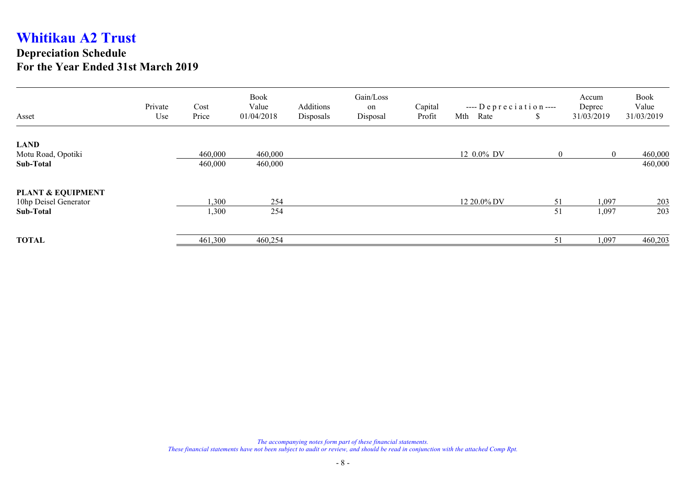## **Depreciation Schedule For the Year Ended 31st March 2019**

|                              | Private | Cost    | <b>Book</b><br>Value | Additions | Gain/Loss<br>on | Capital | $---$ Depreciation $---$ |                | Accum<br>Deprec | <b>Book</b><br>Value |
|------------------------------|---------|---------|----------------------|-----------|-----------------|---------|--------------------------|----------------|-----------------|----------------------|
| Asset                        | Use     | Price   | 01/04/2018           | Disposals | Disposal        | Profit  | Mth<br>Rate              | S.             | 31/03/2019      | 31/03/2019           |
| <b>LAND</b>                  |         |         |                      |           |                 |         |                          |                |                 |                      |
| Motu Road, Opotiki           |         | 460,000 | 460,000              |           |                 |         | 12 0.0% DV               | $\overline{0}$ | $\overline{0}$  | 460,000              |
| Sub-Total                    |         | 460,000 | 460,000              |           |                 |         |                          |                |                 | 460,000              |
| <b>PLANT &amp; EQUIPMENT</b> |         |         |                      |           |                 |         |                          |                |                 |                      |
| 10hp Deisel Generator        |         | 1,300   | 254                  |           |                 |         | 12 20.0% DV              | 51             | 1,097           | 203                  |
| Sub-Total                    |         | 1,300   | 254                  |           |                 |         |                          | 51             | 1,097           | 203                  |
| <b>TOTAL</b>                 |         | 461,300 | 460,254              |           |                 |         |                          | 51             | 1,097           | 460,203              |